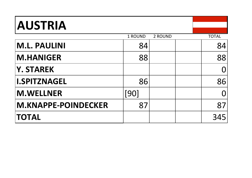| <b>AUSTRIA</b>             |         |         |              |
|----------------------------|---------|---------|--------------|
|                            | 1 ROUND | 2 ROUND | <b>TOTAL</b> |
| M.L. PAULINI               | 84      |         | 84           |
| <b>M.HANIGER</b>           | 88      |         | 88           |
| <b>Y. STAREK</b>           |         |         |              |
| <b>I.SPITZNAGEL</b>        | 86      |         | 86           |
| <b>M.WELLNER</b>           | [90]    |         |              |
| <b>M.KNAPPE-POINDECKER</b> | 87      |         | 87           |
| <b>TOTAL</b>               |         |         | 345          |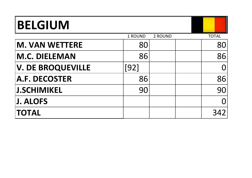| <b>BELGIUM</b>           |         |         |              |
|--------------------------|---------|---------|--------------|
|                          | 1 ROUND | 2 ROUND | <b>TOTAL</b> |
| <b>M. VAN WETTERE</b>    | 80      |         | 80           |
| <b>M.C. DIELEMAN</b>     | 86      |         | 86           |
| <b>V. DE BROQUEVILLE</b> | [92]    |         |              |
| A.F. DECOSTER            | 86      |         | 86           |
| <b>J.SCHIMIKEL</b>       | 90      |         | 90           |
| <b>J. ALOFS</b>          |         |         |              |
| <b>TOTAL</b>             |         |         | 342          |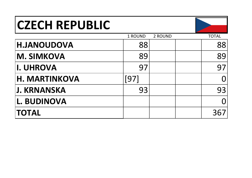#### **CZECH REPUBLIC**



|                      | 1 ROUND | 2 ROUND | <b>TOTAL</b> |
|----------------------|---------|---------|--------------|
| <b>H.JANOUDOVA</b>   | 88      |         | 88           |
| <b>M. SIMKOVA</b>    | 89      |         | 89           |
| <b>I. UHROVA</b>     | 97      |         | 97           |
| <b>H. MARTINKOVA</b> | [97]    |         |              |
| <b>J. KRNANSKA</b>   | 93      |         | 93           |
| <b>L. BUDINOVA</b>   |         |         |              |
| <b>TOTAL</b>         |         |         |              |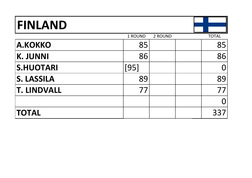| FINLAND            |         |         |              |
|--------------------|---------|---------|--------------|
|                    | 1 ROUND | 2 ROUND | <b>TOTAL</b> |
| <b>A.KOKKO</b>     | 85      |         | 85           |
| <b>K. JUNNI</b>    | 86      |         | 86           |
| <b>S.HUOTARI</b>   | [95]    |         |              |
| <b>S. LASSILA</b>  | 89      |         | 89           |
| <b>T. LINDVALL</b> | 77      |         | 77           |
|                    |         |         |              |
| <b>TOTAL</b>       |         |         | 337          |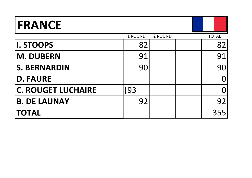# **FRANCE**

|                           | 1 ROUND | 2 ROUND | <b>TOTAL</b> |
|---------------------------|---------|---------|--------------|
| I. STOOPS                 | 82      |         | 82           |
| <b>M. DUBERN</b>          | 91      |         | 91           |
| <b>S. BERNARDIN</b>       | 90      |         | 90           |
| <b>D. FAURE</b>           |         |         |              |
| <b>C. ROUGET LUCHAIRE</b> | [93]    |         |              |
| <b>B. DE LAUNAY</b>       | 92      |         | 92           |
| <b>TOTAL</b>              |         |         | 355          |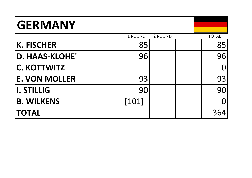| <b>GERMANY</b>       |         |         |              |
|----------------------|---------|---------|--------------|
|                      | 1 ROUND | 2 ROUND | <b>TOTAL</b> |
| <b>K. FISCHER</b>    | 85      |         | 85           |
| D. HAAS-KLOHE'       | 96      |         | 96           |
| <b>C. KOTTWITZ</b>   |         |         |              |
| <b>E. VON MOLLER</b> | 93      |         | 93           |
| II. STILLIG          | 90      |         | 90           |
| <b>B. WILKENS</b>    | [101]   |         |              |
| <b>TOTAL</b>         |         |         | 364          |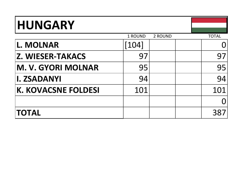| <b>HUNGARY</b>             |                     |         |              |
|----------------------------|---------------------|---------|--------------|
|                            | 1 ROUND             | 2 ROUND | <b>TOTAL</b> |
| <b>L. MOLNAR</b>           | $\lceil 104 \rceil$ |         |              |
| <b>Z. WIESER-TAKACS</b>    | 97                  |         | 97           |
| <b>M. V. GYORI MOLNAR</b>  | 95                  |         | 95           |
| <b>I. ZSADANYI</b>         | 94                  |         | 94           |
| <b>K. KOVACSNE FOLDESI</b> | 101                 |         | 101          |
|                            |                     |         |              |
| <b>TOTAL</b>               |                     |         | $38^\circ$   |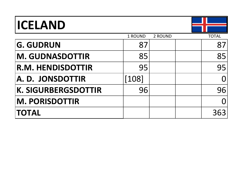# **ICELAND**



|                            | 1 ROUND | 2 ROUND | <b>TOTAL</b> |
|----------------------------|---------|---------|--------------|
| <b>G. GUDRUN</b>           | 87      |         |              |
| <b>M. GUDNASDOTTIR</b>     | 85      |         | 85           |
| <b>R.M. HENDISDOTTIR</b>   | 95      |         | 95           |
| A.D. JONSDOTTIR            | [108]   |         |              |
| <b>K. SIGURBERGSDOTTIR</b> | 96      |         | 96           |
| <b>M. PORISDOTTIR</b>      |         |         |              |
| <b>TOTAL</b>               |         |         |              |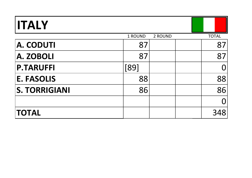| <b>ITALY</b>         |         |         |  |              |
|----------------------|---------|---------|--|--------------|
|                      | 1 ROUND | 2 ROUND |  | <b>TOTAL</b> |
| A. CODUTI            | 87      |         |  | 87           |
| A. ZOBOLI            | 87      |         |  | 87           |
| <b>P.TARUFFI</b>     | [89]    |         |  |              |
| <b>E. FASOLIS</b>    | 88      |         |  | 88           |
| <b>S. TORRIGIANI</b> | 86      |         |  | 86           |
|                      |         |         |  |              |
| <b>TOTAL</b>         |         |         |  | 348          |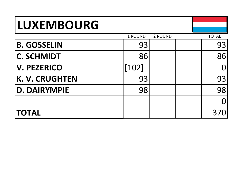| <b>LUXEMBOURG</b>     |         |         |              |
|-----------------------|---------|---------|--------------|
|                       | 1 ROUND | 2 ROUND | <b>TOTAL</b> |
| <b>B. GOSSELIN</b>    | 93      |         | 93           |
| <b>C. SCHMIDT</b>     | 86      |         | 86           |
| <b>V. PEZERICO</b>    | [102]   |         |              |
| <b>K. V. CRUGHTEN</b> | 93      |         | 93           |
| <b>D. DAIRYMPIE</b>   | 98      |         | 98           |
|                       |         |         |              |
| <b>TOTAL</b>          |         |         | 37           |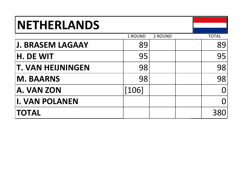| <b>INETHERLANDS</b>      |         |         |  |              |
|--------------------------|---------|---------|--|--------------|
|                          | 1 ROUND | 2 ROUND |  | <b>TOTAL</b> |
| <b>J. BRASEM LAGAAY</b>  | 89      |         |  | 89           |
| <b>H. DE WIT</b>         | 95      |         |  | 95           |
| <b>T. VAN HEIJNINGEN</b> | 98      |         |  | 98           |
| <b>M. BAARNS</b>         | 98      |         |  | 98           |
| A. VAN ZON               | [106]   |         |  |              |
| <b>II. VAN POLANEN</b>   |         |         |  |              |
| <b>TOTAL</b>             |         |         |  | 380          |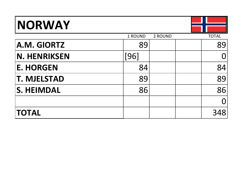| <b>NORWAY</b>       |         |         |              |
|---------------------|---------|---------|--------------|
|                     | 1 ROUND | 2 ROUND | <b>TOTAL</b> |
| A.M. GIORTZ         | 89      |         | 89           |
| <b>N. HENRIKSEN</b> | [96]    |         |              |
| <b>E. HORGEN</b>    | 84      |         | 84           |
| <b>T. MJELSTAD</b>  | 89      |         | 89           |
| <b>S. HEIMDAL</b>   | 86      |         | 86           |
|                     |         |         |              |
| <b>TOTAL</b>        |         |         | 348          |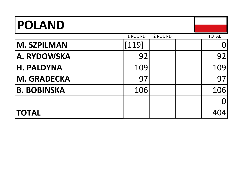| <b>POLAND</b>      |         |         |              |
|--------------------|---------|---------|--------------|
|                    | 1 ROUND | 2 ROUND | <b>TOTAL</b> |
| <b>M. SZPILMAN</b> | $[119]$ |         |              |
| <b>A. RYDOWSKA</b> | 92      |         | 92           |
| <b>H. PALDYNA</b>  | 109     |         | 109          |
| <b>M. GRADECKA</b> | 97      |         | 97           |
| <b>B. BOBINSKA</b> | 106     |         | 106          |
|                    |         |         |              |
| <b>TOTAL</b>       |         |         |              |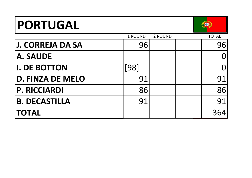#### **PORTUGAL** <u>ij, je </u> 1 ROUND 2 ROUND TOTAL **J. CORREJA DA SA** 96 96 0 **A. SAUDE I. DE BOTTON**[98] 0 **D. FINZA DE MELO** 91 91 **P. RICCIARDI** 86 | 86 **B. DECASTILLA** 91 91 364 **TOTAL**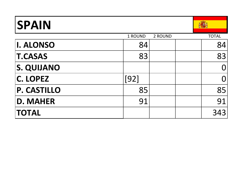| <b>SPAIN</b>      |         |         |              |
|-------------------|---------|---------|--------------|
|                   | 1 ROUND | 2 ROUND | <b>TOTAL</b> |
| I. ALONSO         | 84      |         | 84           |
| <b>T.CASAS</b>    | 83      |         | 83           |
| <b>S. QUIJANO</b> |         |         |              |
| <b>C. LOPEZ</b>   | [92]    |         |              |
| P. CASTILLO       | 85      |         | 85           |
| <b>D. MAHER</b>   | 91      |         | 91           |
| <b>TOTAL</b>      |         |         | 343          |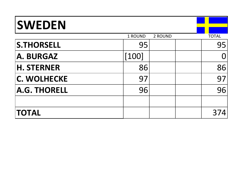| <b>SWEDEN</b>      |         |         |              |
|--------------------|---------|---------|--------------|
|                    | 1 ROUND | 2 ROUND | <b>TOTAL</b> |
| <b>S.THORSELL</b>  | 95      |         | 95           |
| A. BURGAZ          | $[100]$ |         |              |
| H. STERNER         | 86      |         | 86           |
| <b>C. WOLHECKE</b> | 97      |         | 97           |
| A.G. THORELL       | 96      |         | 96           |
|                    |         |         |              |
| <b>TOTAL</b>       |         |         | 374          |